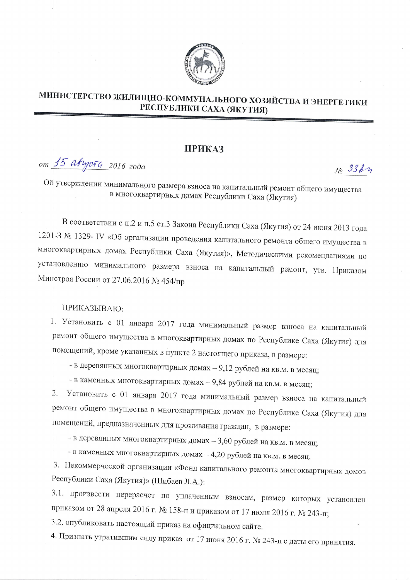

## МИНИСТЕРСТВО ЖИЛИЩНО-КОММУНАЛЬНОГО ХОЗЯЙСТВА И ЭНЕРГЕТИКИ РЕСПУБЛИКИ САХА (ЯКУТИЯ)

## **ПРИКАЗ**

от 15 августи 2016 года

 $N_2$  338  $n$ 

Об утверждении минимального размера взноса на капитальный ремонт общего имущества в многоквартирных домах Республики Саха (Якутия)

В соответствии с п.2 и п.5 ст.3 Закона Республики Саха (Якутия) от 24 июня 2013 года 1201-З № 1329- IV «Об организации проведения капитального ремонта общего имущества в многоквартирных домах Республики Саха (Якутия)», Методическими рекомендациями по установлению минимального размера взноса на капитальный ремонт, утв. Приказом Минстроя России от 27.06.2016 № 454/пр

## ПРИКАЗЫВАЮ:

1. Установить с 01 января 2017 года минимальный размер взноса на капитальный ремонт общего имущества в многоквартирных домах по Республике Саха (Якутия) для помещений, кроме указанных в пункте 2 настоящего приказа, в размере:

- в деревянных многоквартирных домах - 9,12 рублей на кв.м. в месяц;

- в каменных многоквартирных домах - 9,84 рублей на кв.м. в месяц;

Установить с 01 января 2017 года минимальный размер взноса на капитальный 2. ремонт общего имущества в многоквартирных домах по Республике Саха (Якутия) для помещений, предназначенных для проживания граждан, в размере:

- в деревянных многоквартирных домах - 3,60 рублей на кв.м. в месяц;

- в каменных многоквартирных домах - 4,20 рублей на кв.м. в месяц.

3. Некоммерческой организации «Фонд капитального ремонта многоквартирных домов Республики Саха (Якутия)» (Шибаев Л.А.):

3.1. произвести перерасчет по уплаченным взносам, размер которых установлен приказом от 28 апреля 2016 г. № 158-п и приказом от 17 июня 2016 г. № 243-п;

3.2. опубликовать настоящий приказ на официальном сайте.

4. Признать утратившим силу приказ от 17 июня 2016 г. № 243-п с даты его принятия.